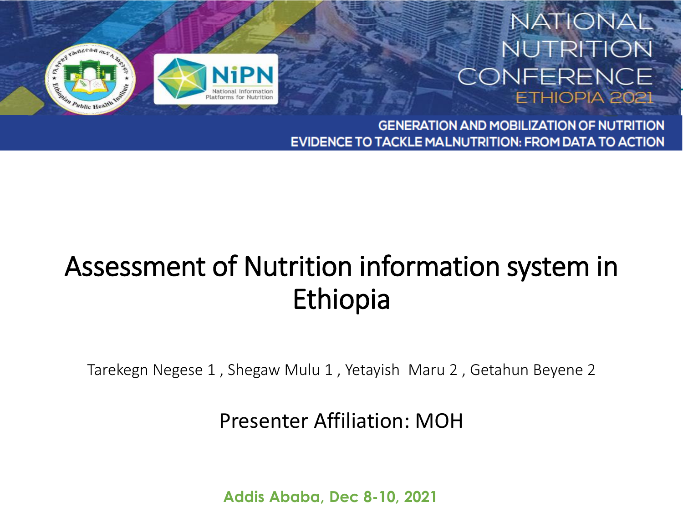

#### NATIONAL **NUTRITION** CONFERENCE ETHIOPIA 2021

**GENERATION AND MOBILIZATION OF NUTRITION EVIDENCE TO TACKLE MALNUTRITION: FROM DATA TO ACTION** 

## Assessment of Nutrition information system in Ethiopia

Tarekegn Negese 1 , Shegaw Mulu 1 , Yetayish Maru 2 , Getahun Beyene 2

#### Presenter Affiliation: MOH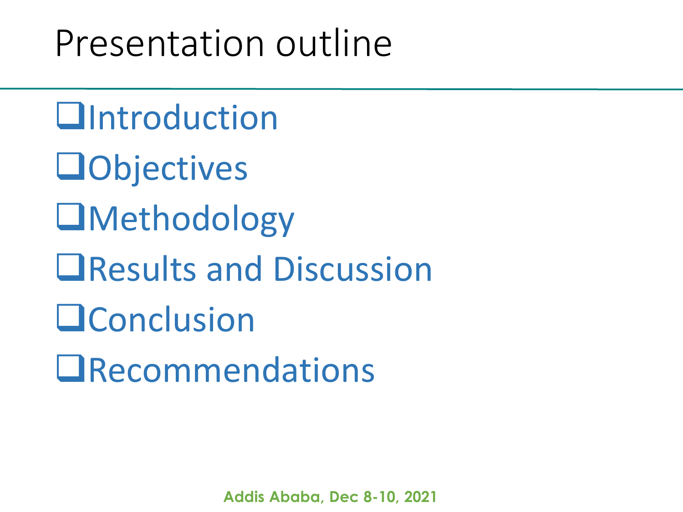## Presentation outline

**Untroduction Objectives O**Methodology **El Results and Discussion OConclusion QRecommendations**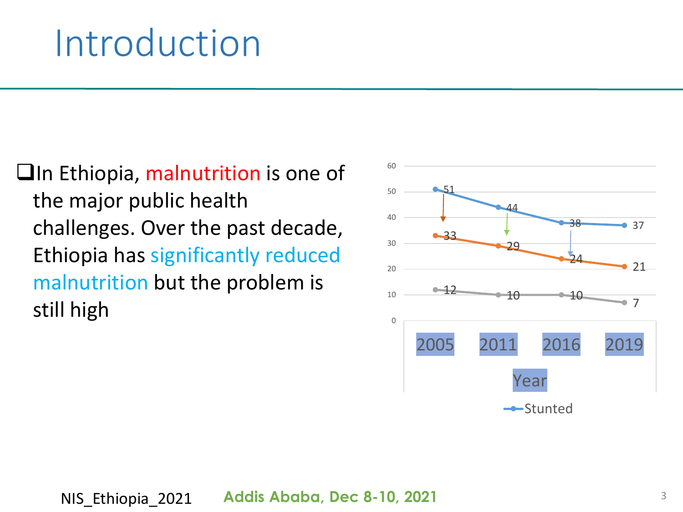## Introduction

 $\Box$ In Ethiopia, malnutrition is one of the major public health challenges. Over the past decade, Ethiopia has significantly reduced malnutrition but the problem is still high

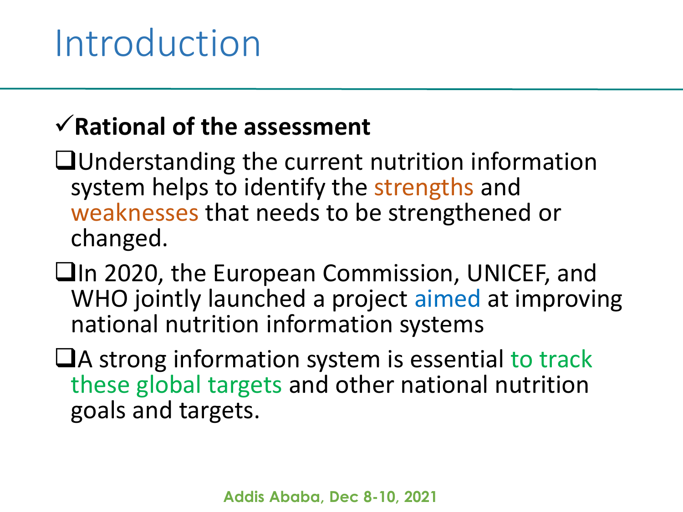## **Rational of the assessment**

- Understanding the current nutrition information system helps to identify the strengths and weaknesses that needs to be strengthened or changed.
- In 2020, the European Commission, UNICEF, and WHO jointly launched a project aimed at improving national nutrition information systems
- $\Box$ A strong information system is essential to track these global targets and other national nutrition goals and targets.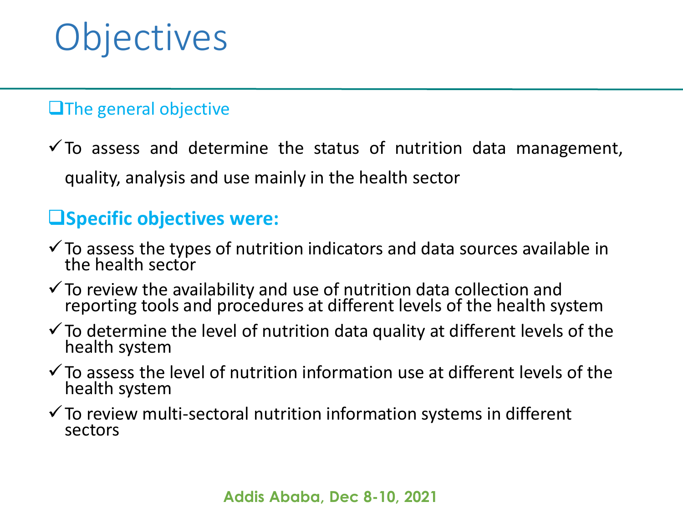# **Objectives**

#### **Li**The general objective

 $\checkmark$  To assess and determine the status of nutrition data management, quality, analysis and use mainly in the health sector

#### **Specific objectives were:**

- $\checkmark$  To assess the types of nutrition indicators and data sources available in the health sector
- $\checkmark$  To review the availability and use of nutrition data collection and reporting tools and procedures at different levels of the health system
- $\checkmark$  To determine the level of nutrition data quality at different levels of the health system
- $\checkmark$  To assess the level of nutrition information use at different levels of the health system
- $\checkmark$  To review multi-sectoral nutrition information systems in different sectors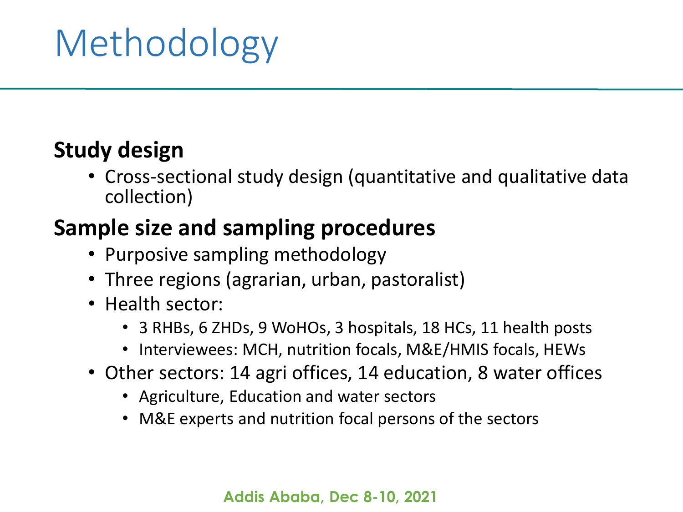# Methodology

#### **Study design**

• Cross-sectional study design (quantitative and qualitative data collection)

#### **Sample size and sampling procedures**

- Purposive sampling methodology
- Three regions (agrarian, urban, pastoralist)
- Health sector:
	- 3 RHBs, 6 ZHDs, 9 WoHOs, 3 hospitals, 18 HCs, 11 health posts
	- Interviewees: MCH, nutrition focals, M&E/HMIS focals, HEWs
- Other sectors: 14 agri offices, 14 education, 8 water offices
	- Agriculture, Education and water sectors
	- M&E experts and nutrition focal persons of the sectors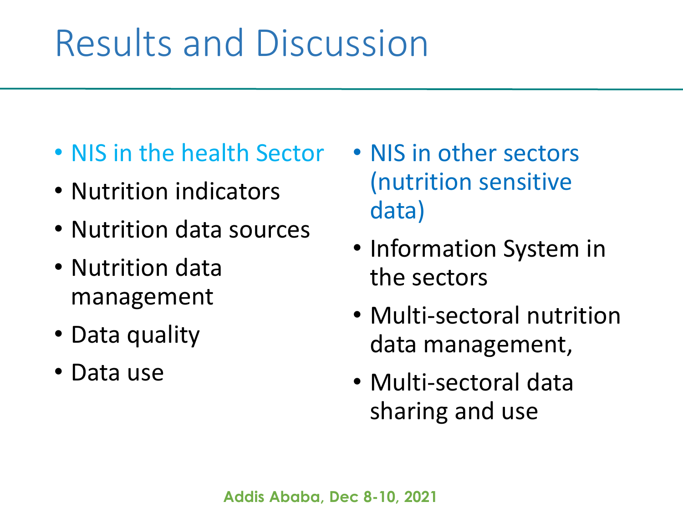# Results and Discussion

- NIS in the health Sector
- Nutrition indicators
- Nutrition data sources
- Nutrition data management
- Data quality
- Data use
- NIS in other sectors (nutrition sensitive data)
- Information System in the sectors
- Multi-sectoral nutrition data management,
- Multi-sectoral data sharing and use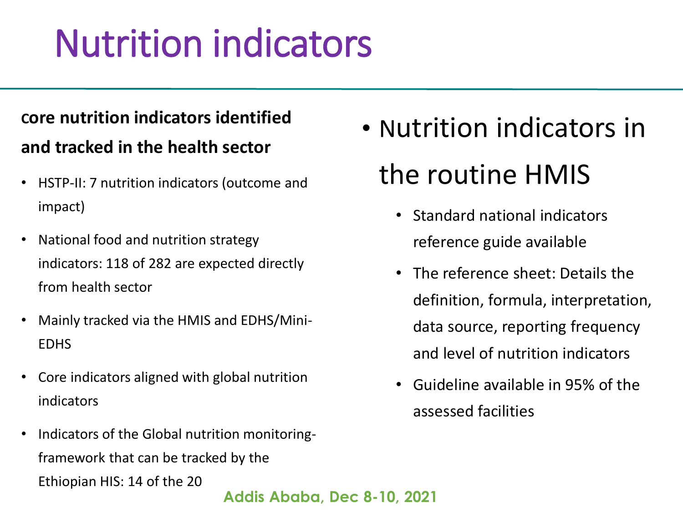# Nutrition indicators

#### **Core nutrition indicators identified and tracked in the health sector**

- HSTP-II: 7 nutrition indicators (outcome and impact)
- National food and nutrition strategy indicators: 118 of 282 are expected directly from health sector
- Mainly tracked via the HMIS and EDHS/Mini-EDHS
- Core indicators aligned with global nutrition indicators
- Indicators of the Global nutrition monitoringframework that can be tracked by the Ethiopian HIS: 14 of the 20
- Nutrition indicators in the routine HMIS
	- Standard national indicators reference guide available
	- The reference sheet: Details the definition, formula, interpretation, data source, reporting frequency and level of nutrition indicators
	- Guideline available in 95% of the assessed facilities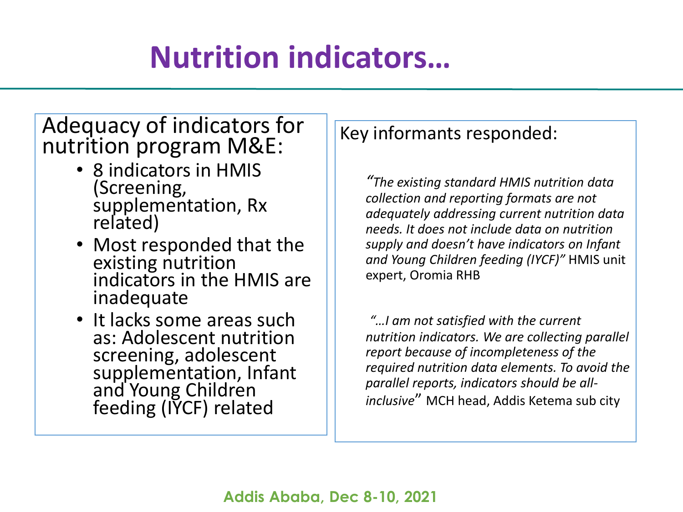## **Nutrition indicators…**

#### Adequacy of indicators for nutrition program M&E:

- 8 indicators in HMIS (Screening, supplementation, Rx related)
- Most responded that the existing nutrition indicators in the HMIS are inadequate
- It lacks some areas such as: Adolescent nutrition screening, adolescent supplementation, Infant and Young Children feeding (IYCF) related

#### Key informants responded:

*"The existing standard HMIS nutrition data collection and reporting formats are not adequately addressing current nutrition data needs. It does not include data on nutrition supply and doesn't have indicators on Infant and Young Children feeding (IYCF)"* HMIS unit expert, Oromia RHB

*"…I am not satisfied with the current nutrition indicators. We are collecting parallel report because of incompleteness of the required nutrition data elements. To avoid the parallel reports, indicators should be allinclusive*" MCH head, Addis Ketema sub city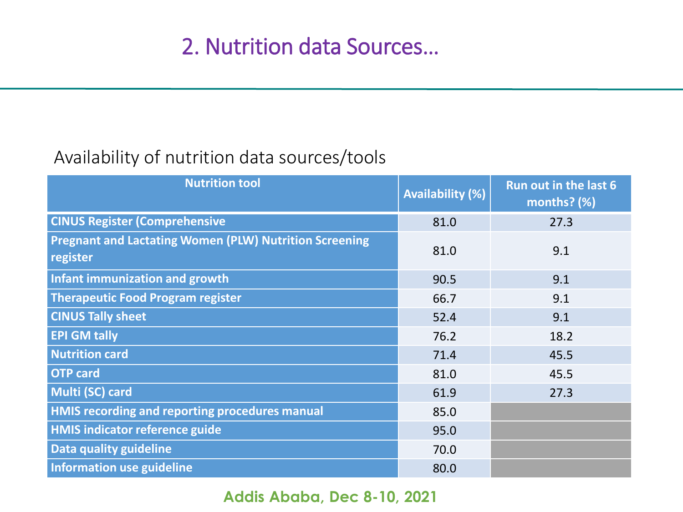#### Availability of nutrition data sources/tools

| <b>Nutrition tool</b>                                                     | <b>Availability (%)</b> | Run out in the last 6<br>months? (%) |  |  |  |
|---------------------------------------------------------------------------|-------------------------|--------------------------------------|--|--|--|
| <b>CINUS Register (Comprehensive</b>                                      | 81.0                    | 27.3                                 |  |  |  |
| <b>Pregnant and Lactating Women (PLW) Nutrition Screening</b><br>register | 81.0                    | 9.1                                  |  |  |  |
| Infant immunization and growth                                            | 90.5                    | 9.1                                  |  |  |  |
| <b>Therapeutic Food Program register</b>                                  | 66.7                    | 9.1                                  |  |  |  |
| <b>CINUS Tally sheet</b>                                                  | 52.4                    | 9.1                                  |  |  |  |
| <b>EPI GM tally</b>                                                       | 76.2                    | 18.2                                 |  |  |  |
| <b>Nutrition card</b>                                                     | 71.4                    | 45.5                                 |  |  |  |
| <b>OTP</b> card                                                           | 81.0                    | 45.5                                 |  |  |  |
| Multi (SC) card                                                           | 61.9                    | 27.3                                 |  |  |  |
| <b>HMIS recording and reporting procedures manual</b>                     | 85.0                    |                                      |  |  |  |
| <b>HMIS indicator reference guide</b>                                     | 95.0                    |                                      |  |  |  |
| Data quality guideline                                                    | 70.0                    |                                      |  |  |  |
| Information use guideline                                                 | 80.0                    |                                      |  |  |  |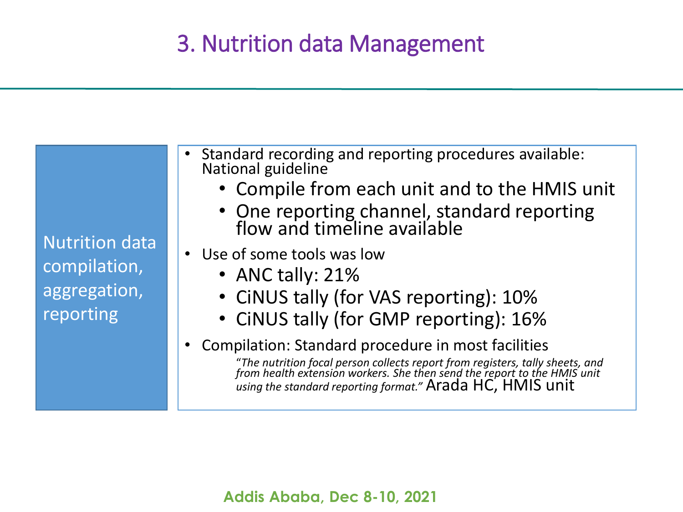## 3. Nutrition data Management

Nutrition data compilation, aggregation, reporting

- Standard recording and reporting procedures available: National guideline
	- Compile from each unit and to the HMIS unit
	- One reporting channel, standard reporting flow and timeline available
- Use of some tools was low
	- ANC tally: 21%
	- CiNUS tally (for VAS reporting): 10%
	- CiNUS tally (for GMP reporting): 16%
- Compilation: Standard procedure in most facilities

"*The nutrition focal person collects report from registers, tally sheets, and from health extension workers. She then send the report to the HMIS unit using the standard reporting format."* Arada HC, HMIS unit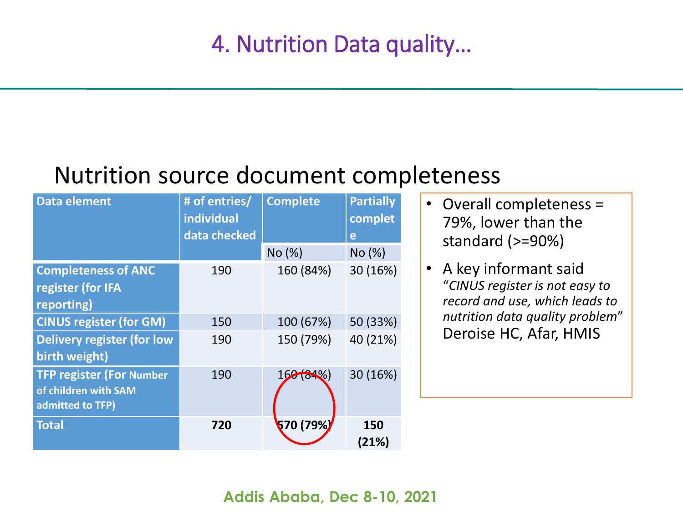#### Nutrition source document completeness

| <b>Data element</b>                                                         | # of entries/<br>individual<br>data checked | <b>Complete</b> | <b>Partially</b><br>complet<br>e |  |  |
|-----------------------------------------------------------------------------|---------------------------------------------|-----------------|----------------------------------|--|--|
|                                                                             |                                             | No (%)          | No (%)                           |  |  |
| <b>Completeness of ANC</b><br>register (for IFA<br>reporting)               | 190                                         | 160 (84%)       | 30 (16%)                         |  |  |
| <b>CINUS register (for GM)</b>                                              | 150                                         | 100 (67%)       | 50 (33%)                         |  |  |
| <b>Delivery register (for low</b><br>birth weight)                          | 190                                         | 150 (79%)       | 40 (21%)                         |  |  |
| <b>TFP register (For Number</b><br>of children with SAM<br>admitted to TFP) | 190                                         | 168(84%)        | 30 (16%)                         |  |  |
| <b>Total</b>                                                                | 720                                         | 570 (79%)       | 150<br>(21%)                     |  |  |

- Overall completeness = 79%, lower than the standard (>=90%)
- A key informant said "*CINUS register is not easy to record and use, which leads to nutrition data quality problem*" Deroise HC, Afar, HMIS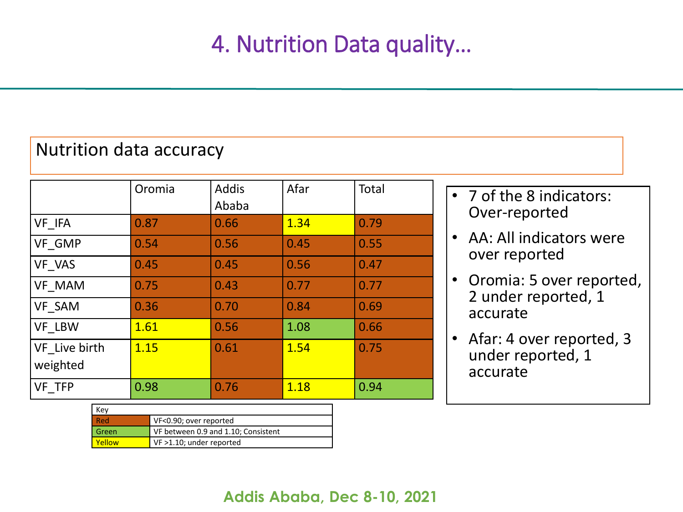#### Nutrition data accuracy

|                           | Oromia | <b>Addis</b><br>Ababa | Afar | Total |
|---------------------------|--------|-----------------------|------|-------|
| VF IFA                    | 0.87   | 0.66                  | 1.34 | 0.79  |
| <b>VF GMP</b>             | 0.54   | 0.56                  | 0.45 | 0.55  |
| VF VAS                    | 0.45   | 0.45                  | 0.56 | 0.47  |
| <b>VF MAM</b>             | 0.75   | 0.43                  | 0.77 | 0.77  |
| VF SAM                    | 0.36   | 0.70                  | 0.84 | 0.69  |
| <b>VF LBW</b>             | 1.61   | 0.56                  | 1.08 | 0.66  |
| VF Live birth<br>weighted | 1.15   | 0.61                  | 1.54 | 0.75  |
| VF TFP                    | 0.98   | 0.76                  | 1.18 | 0.94  |

| Kev    |                                     |
|--------|-------------------------------------|
| - Red  | VF<0.90; over reported              |
| Green  | VF between 0.9 and 1.10; Consistent |
| Yellow | VF >1.10; under reported            |

- 7 of the 8 indicators: Over-reported
- AA: All indicators were over reported
- Oromia: 5 over reported, 2 under reported, 1 accurate
- Afar: 4 over reported, 3 under reported, 1 accurate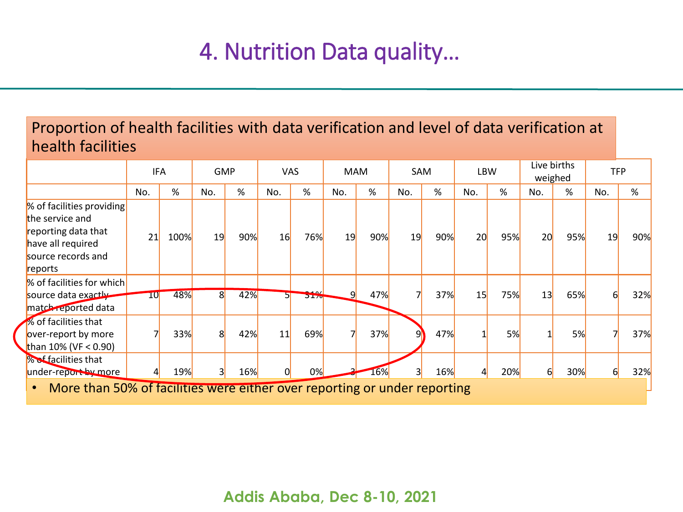#### Proportion of health facilities with data verification and level of data verification at health facilities

|                                                                                                                                        |        | <b>GMP</b><br>IFA |                | <b>VAS</b> |     | <b>MAM</b>            |     | SAM |                         | LBW |     | Live births<br>weighed |          | <b>TFP</b> |          |     |
|----------------------------------------------------------------------------------------------------------------------------------------|--------|-------------------|----------------|------------|-----|-----------------------|-----|-----|-------------------------|-----|-----|------------------------|----------|------------|----------|-----|
|                                                                                                                                        | No.    | %                 | No.            | %          | No. | %                     | No. | %   | No.                     | %   | No. | %                      | No.      | %          | No.      | %   |
| % of facilities providing<br>the service and<br>reporting data that<br>have all required<br>source records and<br>reports              | 21     | 100%              | 19             | 90%        | 16  | 76%                   | 19  | 90% | 19                      | 90% | 20  | 95%                    | 20       | 95%        | 19       | 90% |
| % of facilities for which<br>source data exactly<br>match reported data                                                                | $10\,$ | 48%               | 8 <sup>1</sup> | 42%        |     | رمد<br>J <sub>1</sub> | 9   | 47% |                         | 37% | 15  | 75%                    | 13       | 65%        | $6 \mid$ | 32% |
| % of facilities that<br>over-report by more<br>than $10\%$ (VF < 0.90)                                                                 |        | 33%               | 8              | 42%        | 11  | 69%                   |     | 37% | 9                       | 47% |     | 5%                     |          | 5%         |          | 37% |
| % of facilities that<br>under-report by more<br>More than 50% of facilities were either over reporting or under reporting<br>$\bullet$ |        | 19%               | 3              | 16%        |     | 0%                    |     | 16% | $\overline{\mathsf{3}}$ | 16% | 41  | 20%                    | $6 \mid$ | 30%        | $6 \mid$ | 32% |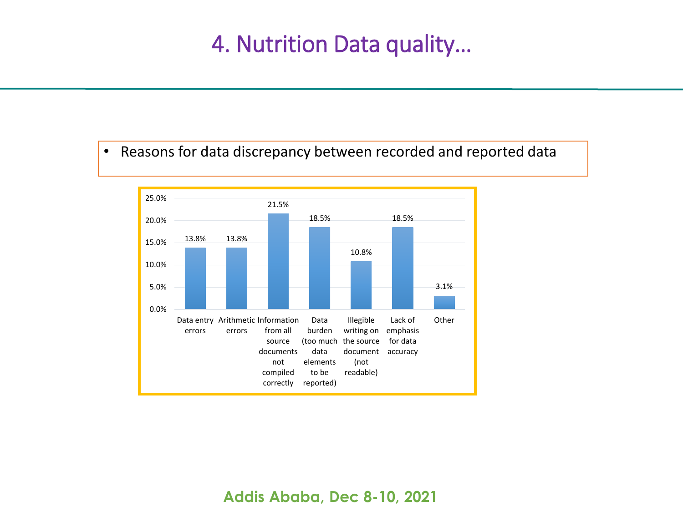#### • Reasons for data discrepancy between recorded and reported data

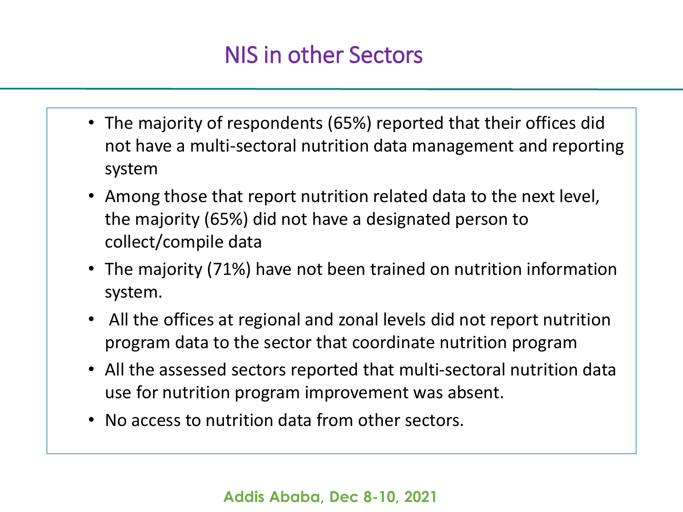### NIS in other Sectors

- The majority of respondents (65%) reported that their offices did not have a multi-sectoral nutrition data management and reporting system
- Among those that report nutrition related data to the next level, the majority (65%) did not have a designated person to collect/compile data
- The majority (71%) have not been trained on nutrition information system.
- All the offices at regional and zonal levels did not report nutrition program data to the sector that coordinate nutrition program
- All the assessed sectors reported that multi-sectoral nutrition data use for nutrition program improvement was absent.
- No access to nutrition data from other sectors.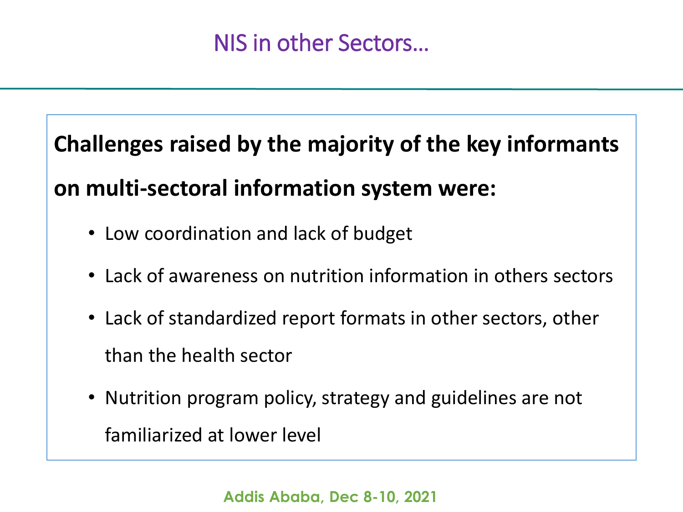**Challenges raised by the majority of the key informants** 

**on multi-sectoral information system were:**

- Low coordination and lack of budget
- Lack of awareness on nutrition information in others sectors
- Lack of standardized report formats in other sectors, other than the health sector
- Nutrition program policy, strategy and guidelines are not familiarized at lower level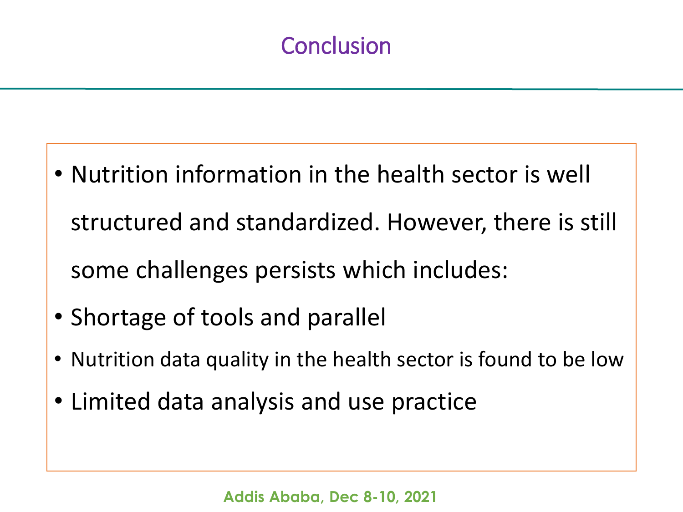## **Conclusion**

- Nutrition information in the health sector is well structured and standardized. However, there is still some challenges persists which includes:
- Shortage of tools and parallel
- Nutrition data quality in the health sector is found to be low
- Limited data analysis and use practice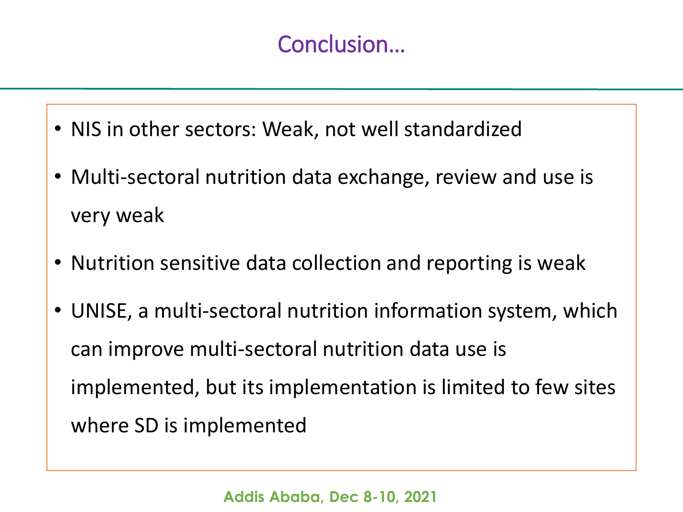## Conclusion…

- NIS in other sectors: Weak, not well standardized
- Multi-sectoral nutrition data exchange, review and use is very weak
- Nutrition sensitive data collection and reporting is weak
- UNISE, a multi-sectoral nutrition information system, which can improve multi-sectoral nutrition data use is implemented, but its implementation is limited to few sites where SD is implemented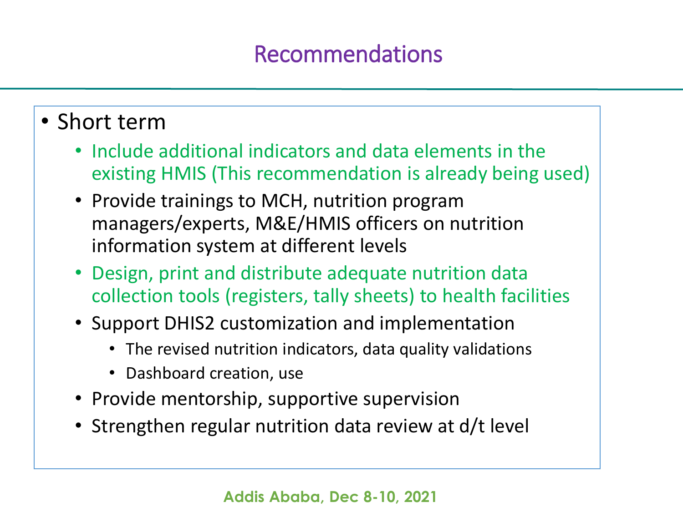#### Recommendations

#### • Short term

- Include additional indicators and data elements in the existing HMIS (This recommendation is already being used)
- Provide trainings to MCH, nutrition program managers/experts, M&E/HMIS officers on nutrition information system at different levels
- Design, print and distribute adequate nutrition data collection tools (registers, tally sheets) to health facilities
- Support DHIS2 customization and implementation
	- The revised nutrition indicators, data quality validations
	- Dashboard creation, use
- Provide mentorship, supportive supervision
- Strengthen regular nutrition data review at d/t level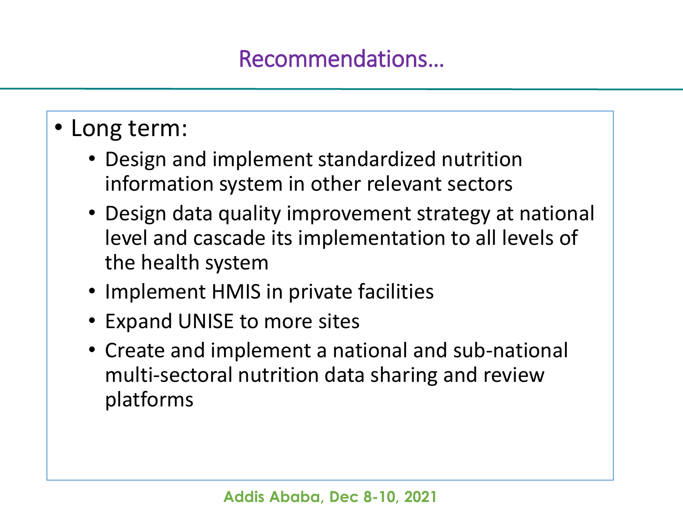## Recommendations…

## • Long term:

- Design and implement standardized nutrition information system in other relevant sectors
- Design data quality improvement strategy at national level and cascade its implementation to all levels of the health system
- Implement HMIS in private facilities
- Expand UNISE to more sites
- Create and implement a national and sub-national multi-sectoral nutrition data sharing and review platforms